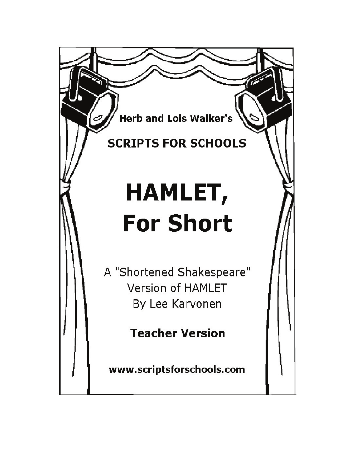**Herb and Lois Walker's** 

# **SCRIPTS FOR SCHOOLS**

# HAMLET, **For Short**

A "Shortened Shakespeare" **Version of HAMLET** By Lee Karvonen

**Teacher Version** 

www.scriptsforschools.com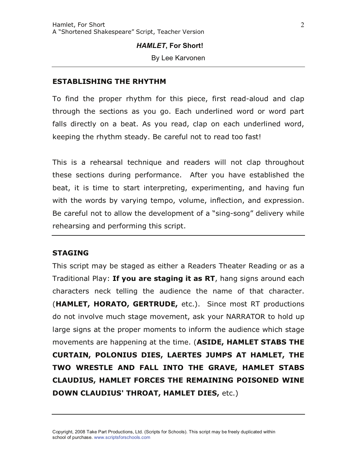# *HAMLET***, For Short!**

By Lee Karvonen

# **ESTABLISHING THE RHYTHM**

To find the proper rhythm for this piece, first read-aloud and clap through the sections as you go. Each underlined word or word part falls directly on a beat. As you read, clap on each underlined word, keeping the rhythm steady. Be careful not to read too fast!

This is a rehearsal technique and readers will not clap throughout these sections during performance. After you have established the beat, it is time to start interpreting, experimenting, and having fun with the words by varying tempo, volume, inflection, and expression. Be careful not to allow the development of a "sing-song" delivery while rehearsing and performing this script.

## STAGING

This script may be staged as either a Readers Theater Reading or as a Traditional Play: If you are staging it as RT, hang signs around each characters neck telling the audience the name of that character. (HAMLET, HORATO, GERTRUDE, etc.). Since most RT productions do not involve much stage movement, ask your NARRATOR to hold up large signs at the proper moments to inform the audience which stage movements are happening at the time. (ASIDE, HAMLET STABS THE CURTAIN, POLONIUS DIES, LAERTES JUMPS AT HAMLET, THE TWO WRESTLE AND FALL INTO THE GRAVE, HAMLET STABS CLAUDIUS, HAMLET FORCES THE REMAINING POISONED WINE DOWN CLAUDIUS' THROAT, HAMLET DIES, etc.)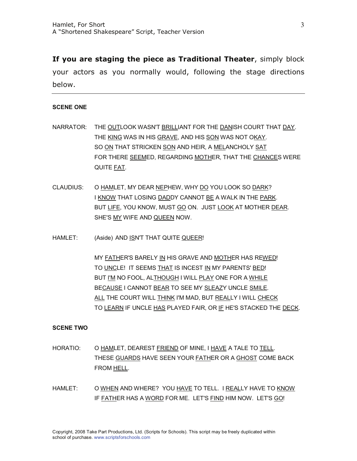If you are staging the piece as Traditional Theater, simply block your actors as you normally would, following the stage directions below.

#### **SCENE ONE**

- NARRATOR: THE OUTLOOK WASN'T BRILLIANT FOR THE DANISH COURT THAT DAY. THE KING WAS IN HIS GRAVE, AND HIS SON WAS NOT OKAY. SO ON THAT STRICKEN SON AND HEIR, A MELANCHOLY SAT FOR THERE SEEMED, REGARDING MOTHER, THAT THE CHANCES WERE QUITE FAT.
- CLAUDIUS: O HAMLET, MY DEAR NEPHEW, WHY DO YOU LOOK SO DARK? I KNOW THAT LOSING DADDY CANNOT BE A WALK IN THE PARK. BUT LIFE, YOU KNOW, MUST GO ON. JUST LOOK AT MOTHER DEAR. SHE'S MY WIFE AND QUEEN NOW.
- HAMLET: (Aside) AND ISN'T THAT QUITE QUEER!

 MY FATHER'S BARELY IN HIS GRAVE AND MOTHER HAS REWED! TO UNCLE! IT SEEMS THAT IS INCEST IN MY PARENTS' BED! BUT I'M NO FOOL, ALTHOUGH I WILL PLAY ONE FOR A WHILE BECAUSE I CANNOT BEAR TO SEE MY SLEAZY UNCLE SMILE. ALL THE COURT WILL THINK I'M MAD, BUT REALLY I WILL CHECK TO LEARN IF UNCLE HAS PLAYED FAIR, OR IF HE'S STACKED THE DECK.

#### **SCENE TWO**

- HORATIO: O HAMLET, DEAREST FRIEND OF MINE, I HAVE A TALE TO TELL. THESE GUARDS HAVE SEEN YOUR FATHER OR A GHOST COME BACK FROM HELL.
- HAMLET: O WHEN AND WHERE? YOU HAVE TO TELL. I REALLY HAVE TO KNOW IF FATHER HAS A WORD FOR ME. LET'S FIND HIM NOW. LET'S GO!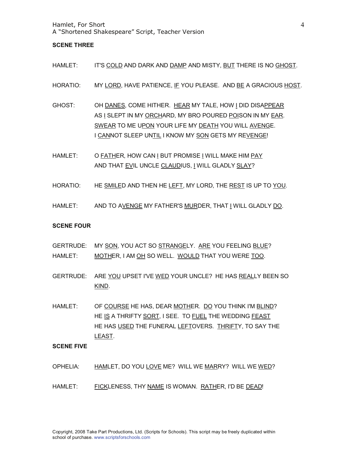#### **SCENE THREE**

- HAMLET: IT'S COLD AND DARK AND DAMP AND MISTY, BUT THERE IS NO GHOST.
- HORATIO: MY LORD, HAVE PATIENCE, IF YOU PLEASE. AND BE A GRACIOUS HOST.
- GHOST: OH DANES, COME HITHER. HEAR MY TALE, HOW I DID DISAPPEAR AS I SLEPT IN MY ORCHARD, MY BRO POURED POISON IN MY EAR. SWEAR TO ME UPON YOUR LIFE MY DEATH YOU WILL AVENGE. I CANNOT SLEEP UNTIL I KNOW MY SON GETS MY REVENGE!
- HAMLET: O FATHER, HOW CAN I BUT PROMISE I WILL MAKE HIM PAY AND THAT EVIL UNCLE CLAUDIUS, I WILL GLADLY SLAY?
- HORATIO: HE SMILED AND THEN HE LEFT, MY LORD, THE REST IS UP TO YOU.
- HAMLET: AND TO AVENGE MY FATHER'S MURDER, THAT I WILL GLADLY DO.

#### **SCENE FOUR**

- GERTRUDE: MY SON, YOU ACT SO STRANGELY. ARE YOU FEELING BLUE? HAMLET: MOTHER, I AM OH SO WELL. WOULD THAT YOU WERE TOO.
- GERTRUDE: ARE YOU UPSET I'VE WED YOUR UNCLE? HE HAS REALLY BEEN SO KIND.
- HAMLET: OF COURSE HE HAS, DEAR MOTHER. DO YOU THINK I'M BLIND? HE IS A THRIFTY SORT, I SEE. TO FUEL THE WEDDING FEAST HE HAS USED THE FUNERAL LEFTOVERS. THRIFTY, TO SAY THE LEAST.

#### **SCENE FIVE**

- OPHELIA: HAMLET, DO YOU LOVE ME? WILL WE MARRY? WILL WE WED?
- HAMLET: FICKLENESS, THY NAME IS WOMAN. RATHER, I'D BE DEAD!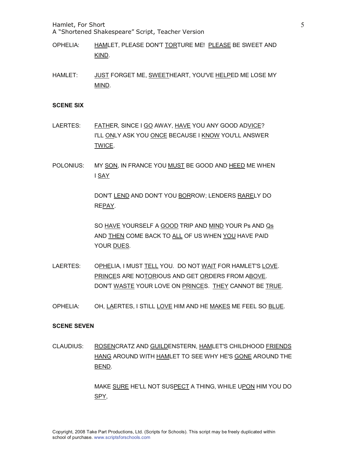Hamlet, For Short

A "Shortened Shakespeare" Script, Teacher Version

- OPHELIA: HAMLET, PLEASE DON'T TORTURE ME! PLEASE BE SWEET AND KIND.
- HAMLET: JUST FORGET ME, SWEETHEART, YOU'VE HELPED ME LOSE MY MIND.

#### **SCENE SIX**

- LAERTES: FATHER, SINCE I GO AWAY, HAVE YOU ANY GOOD ADVICE? I'LL ONLY ASK YOU ONCE BECAUSE I KNOW YOU'LL ANSWER TWICE.
- POLONIUS: MY SON, IN FRANCE YOU MUST BE GOOD AND HEED ME WHEN I SAY

DON'T LEND AND DON'T YOU BORROW; LENDERS RARELY DO REPAY.

SO HAVE YOURSELF A GOOD TRIP AND MIND YOUR Ps AND Qs AND THEN COME BACK TO ALL OF US WHEN YOU HAVE PAID YOUR DUES.

- LAERTES: OPHELIA, I MUST TELL YOU. DO NOT WAIT FOR HAMLET'S LOVE. PRINCES ARE NOTORIOUS AND GET ORDERS FROM ABOVE. DON'T WASTE YOUR LOVE ON PRINCES. THEY CANNOT BE TRUE.
- OPHELIA: OH, LAERTES, I STILL LOVE HIM AND HE MAKES ME FEEL SO BLUE.

#### **SCENE SEVEN**

CLAUDIUS: ROSENCRATZ AND GUILDENSTERN, HAMLET'S CHILDHOOD FRIENDS HANG AROUND WITH HAMLET TO SEE WHY HE'S GONE AROUND THE BEND.

> MAKE SURE HE'LL NOT SUSPECT A THING, WHILE UPON HIM YOU DO SPY,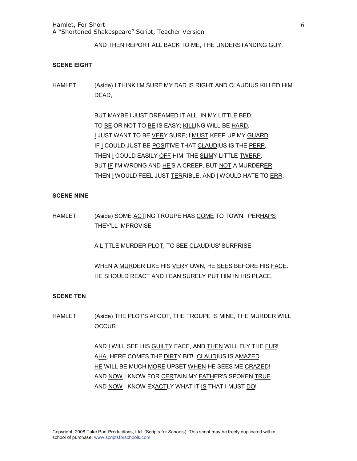AND THEN REPORT ALL BACK TO ME, THE UNDERSTANDING GUY.

#### **SCENE EIGHT**

HAMLET: (Aside) I THINK I'M SURE MY DAD IS RIGHT AND CLAUDIUS KILLED HIM DEAD,

> BUT MAYBE I JUST DREAMED IT ALL, IN MY LITTLE BED. TO BE OR NOT TO BE IS EASY; KILLING WILL BE HARD. I JUST WANT TO BE VERY SURE; I MUST KEEP UP MY GUARD. IF I COULD JUST BE POSITIVE THAT CLAUDIUS IS THE PERP, THEN I COULD EASILY OFF HIM, THE SLIMY LITTLE TWERP. BUT IF I'M WRONG AND HE'S A CREEP, BUT NOT A MURDERER, THEN I WOULD FEEL JUST TERRIBLE, AND I WOULD HATE TO ERR.

#### **SCENE NINE**

HAMLET: (Aside) SOME ACTING TROUPE HAS COME TO TOWN. PERHAPS THEY'LL IMPROVISE

A LITTLE MURDER PLOT, TO SEE CLAUDIUS' SURPRISE

WHEN A MURDER LIKE HIS VERY OWN, HE SEES BEFORE HIS FACE. HE SHOULD REACT AND I CAN SURELY PUT HIM IN HIS PLACE.

#### **SCENE TEN**

HAMLET: (Aside) THE PLOT'S AFOOT, THE TROUPE IS MINE, THE MURDER WILL **OCCUR** 

> AND I WILL SEE HIS GUILTY FACE, AND THEN WILL FLY THE FUR! AHA, HERE COMES THE DIRTY BIT! CLAUDIUS IS AMAZED! HE WILL BE MUCH MORE UPSET WHEN HE SEES ME CRAZED! AND NOW I KNOW FOR CERTAIN MY FATHER'S SPOKEN TRUE AND NOW I KNOW EXACTLY WHAT IT IS THAT I MUST DO!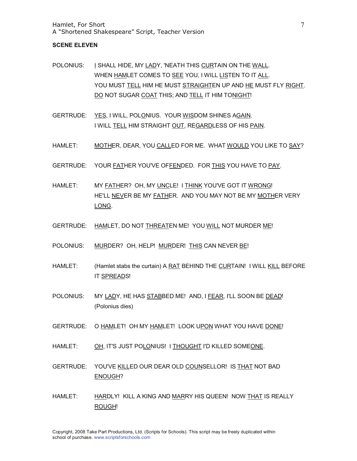#### **SCENE ELEVEN**

- POLONIUS: I SHALL HIDE, MY LADY, 'NEATH THIS CURTAIN ON THE WALL. WHEN HAMLET COMES TO SEE YOU, I WILL LISTEN TO IT ALL. YOU MUST TELL HIM HE MUST STRAIGHTEN UP AND HE MUST FLY RIGHT. DO NOT SUGAR COAT THIS; AND TELL IT HIM TONIGHT!
- GERTRUDE: YES, I WILL, POLONIUS. YOUR WISDOM SHINES AGAIN. I WILL TELL HIM STRAIGHT OUT, REGARDLESS OF HIS PAIN.
- HAMLET: MOTHER, DEAR, YOU CALLED FOR ME. WHAT WOULD YOU LIKE TO SAY?
- GERTRUDE: YOUR FATHER YOU'VE OFFENDED. FOR THIS YOU HAVE TO PAY.
- HAMLET: MY FATHER? OH, MY UNCLE! I THINK YOU'VE GOT IT WRONG! HE'LL NEVER BE MY FATHER. AND YOU MAY NOT BE MY MOTHER VERY LONG.
- GERTRUDE: HAMLET, DO NOT THREATEN ME! YOU WILL NOT MURDER ME!
- POLONIUS: MURDER? OH, HELP! MURDER! THIS CAN NEVER BE!
- HAMLET: (Hamlet stabs the curtain) A RAT BEHIND THE CURTAIN! I WILL KILL BEFORE IT SPREADS!
- POLONIUS: MY LADY, HE HAS STABBED ME! AND, I FEAR, I'LL SOON BE DEAD! (Polonius dies)
- GERTRUDE: O HAMLET! OH MY HAMLET! LOOK UPON WHAT YOU HAVE DONE!
- HAMLET: OH, IT'S JUST POLONIUS! I THOUGHT I'D KILLED SOMEONE.
- GERTRUDE: YOU'VE KILLED OUR DEAR OLD COUNSELLOR! IS THAT NOT BAD ENOUGH?
- HAMLET: HARDLY! KILL A KING AND MARRY HIS QUEEN! NOW THAT IS REALLY ROUGH!